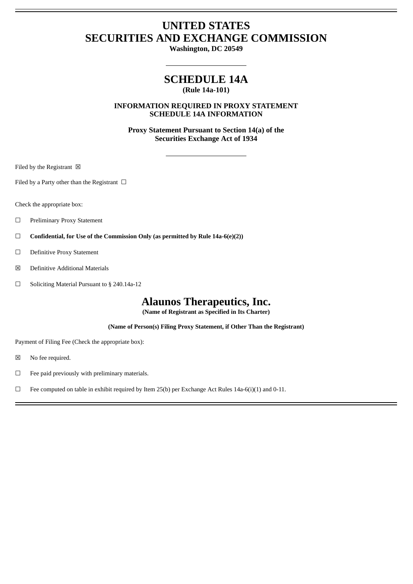# **UNITED STATES SECURITIES AND EXCHANGE COMMISSION**

**Washington, DC 20549**

## **SCHEDULE 14A (Rule 14a-101)**

**INFORMATION REQUIRED IN PROXY STATEMENT SCHEDULE 14A INFORMATION**

**Proxy Statement Pursuant to Section 14(a) of the Securities Exchange Act of 1934**

Filed by the Registrant  $\boxtimes$ 

Filed by a Party other than the Registrant  $\Box$ 

Check the appropriate box:

- ☐ Preliminary Proxy Statement
- ☐ **Confidential, for Use of the Commission Only (as permitted by Rule 14a-6(e)(2))**
- ☐ Definitive Proxy Statement
- ☒ Definitive Additional Materials
- ☐ Soliciting Material Pursuant to § 240.14a-12

# **Alaunos Therapeutics, Inc.**

**(Name of Registrant as Specified in Its Charter)**

**(Name of Person(s) Filing Proxy Statement, if Other Than the Registrant)**

Payment of Filing Fee (Check the appropriate box):

- ☒ No fee required.
- $\Box$  Fee paid previously with preliminary materials.
- □ Fee computed on table in exhibit required by Item 25(b) per Exchange Act Rules 14a-6(i)(1) and 0-11.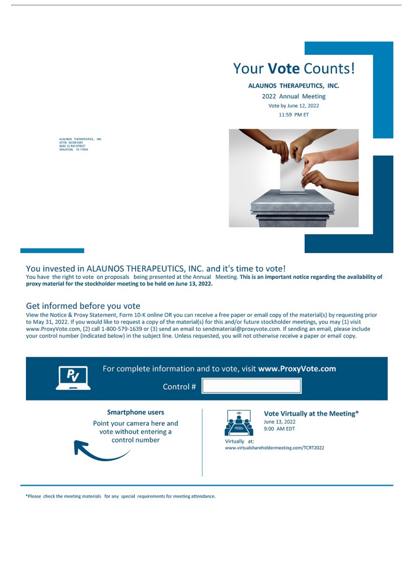

# Your Vote Counts!

#### ALAUNOS THERAPEUTICS, INC.

2022 Annual Meeting Vote by June 12, 2022 11:59 PM ET



### You invested in ALAUNOS THERAPEUTICS, INC. and it's time to vote!

You have the right to vote on proposals being presented at the Annual Meeting. This is an important notice regarding the availability of proxy material for the stockholder meeting to be held on June 13, 2022.

#### Get informed before you vote

View the Notice & Proxy Statement, Form 10-K online OR you can receive a free paper or email copy of the material(s) by requesting prior to May 31, 2022. If you would like to request a copy of the material(s) for this and/or future stockholder meetings, you may (1) visit www.ProxyVote.com, (2) call 1-800-579-1639 or (3) send an email to sendmaterial@proxyvote.com. If sending an email, please include your control number (indicated below) in the subject line. Unless requested, you will not otherwise receive a paper or email copy.



\*Please check the meeting materials for any special requirements for meeting attendance.